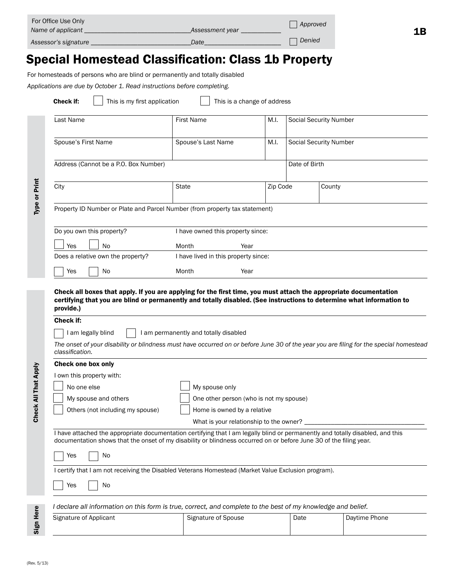|                      | For Office Use Only<br>Name of applicant                                                                                                                                                                                                                |                     |                             |                               | Approved<br>1Β |  |
|----------------------|---------------------------------------------------------------------------------------------------------------------------------------------------------------------------------------------------------------------------------------------------------|---------------------|-----------------------------|-------------------------------|----------------|--|
|                      |                                                                                                                                                                                                                                                         |                     | Date <b>Date</b>            |                               |                |  |
|                      | <b>Special Homestead Classification: Class 1b Property</b><br>For homesteads of persons who are blind or permanently and totally disabled                                                                                                               |                     |                             |                               |                |  |
|                      | Applications are due by October 1. Read instructions before completing.                                                                                                                                                                                 |                     |                             |                               |                |  |
|                      | This is my first application<br>Check if:                                                                                                                                                                                                               |                     | This is a change of address |                               |                |  |
| Type or Print        | Last Name                                                                                                                                                                                                                                               | <b>First Name</b>   | M.I.                        | <b>Social Security Number</b> |                |  |
|                      | Spouse's First Name                                                                                                                                                                                                                                     | Spouse's Last Name  | M.I.                        | <b>Social Security Number</b> |                |  |
|                      | Address (Cannot be a P.O. Box Number)                                                                                                                                                                                                                   |                     |                             | Date of Birth                 |                |  |
|                      | City                                                                                                                                                                                                                                                    | State               | Zip Code                    | County                        |                |  |
|                      | Property ID Number or Plate and Parcel Number (from property tax statement)                                                                                                                                                                             |                     |                             |                               |                |  |
|                      | Do you own this property?<br>I have owned this property since:                                                                                                                                                                                          |                     |                             |                               |                |  |
|                      | Yes<br><b>No</b><br>Month<br>Year                                                                                                                                                                                                                       |                     |                             |                               |                |  |
|                      | Does a relative own the property?<br>I have lived in this property since:                                                                                                                                                                               |                     |                             |                               |                |  |
|                      | Yes<br>No                                                                                                                                                                                                                                               | Month               | Year                        |                               |                |  |
| Check All That Apply | Check all boxes that apply. If you are applying for the first time, you must attach the appropriate documentation<br>certifying that you are blind or permanently and totally disabled. (See instructions to determine what information to<br>provide.) |                     |                             |                               |                |  |
|                      | Check if:                                                                                                                                                                                                                                               |                     |                             |                               |                |  |
|                      | I am legally blind<br>I am permanently and totally disabled                                                                                                                                                                                             |                     |                             |                               |                |  |
|                      | The onset of your disability or blindness must have occurred on or before June 30 of the year you are filing for the special homestead<br>classification.                                                                                               |                     |                             |                               |                |  |
|                      | <b>Check one box only</b><br>I own this property with:                                                                                                                                                                                                  |                     |                             |                               |                |  |
|                      | No one else<br>My spouse only                                                                                                                                                                                                                           |                     |                             |                               |                |  |
|                      | My spouse and others<br>One other person (who is not my spouse)                                                                                                                                                                                         |                     |                             |                               |                |  |
|                      | Others (not including my spouse)<br>Home is owned by a relative                                                                                                                                                                                         |                     |                             |                               |                |  |
|                      | What is your relationship to the owner? _                                                                                                                                                                                                               |                     |                             |                               |                |  |
|                      | I have attached the appropriate documentation certifying that I am legally blind or permanently and totally disabled, and this<br>documentation shows that the onset of my disability or blindness occurred on or before June 30 of the filing year.    |                     |                             |                               |                |  |
|                      | No<br>Yes                                                                                                                                                                                                                                               |                     |                             |                               |                |  |
|                      | I certify that I am not receiving the Disabled Veterans Homestead (Market Value Exclusion program).                                                                                                                                                     |                     |                             |                               |                |  |
|                      | Yes<br>No                                                                                                                                                                                                                                               |                     |                             |                               |                |  |
|                      | I declare all information on this form is true, correct, and complete to the best of my knowledge and belief.                                                                                                                                           |                     |                             |                               |                |  |
| Sign Here            | Signature of Applicant                                                                                                                                                                                                                                  | Signature of Spouse |                             | Date                          | Daytime Phone  |  |